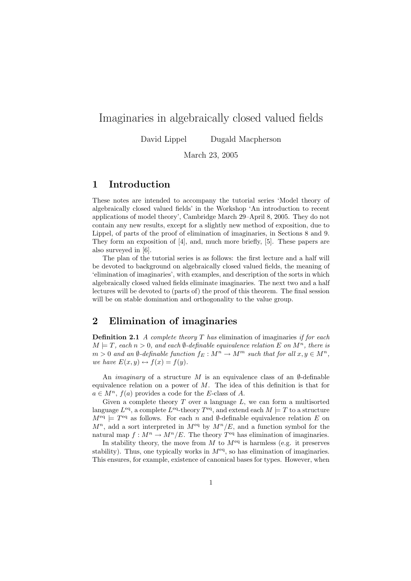# Imaginaries in algebraically closed valued fields

David Lippel Dugald Macpherson

March 23, 2005

# 1 Introduction

These notes are intended to accompany the tutorial series 'Model theory of algebraically closed valued fields' in the Workshop 'An introduction to recent applications of model theory', Cambridge March 29–April 8, 2005. They do not contain any new results, except for a slightly new method of exposition, due to Lippel, of parts of the proof of elimination of imaginaries, in Sections 8 and 9. They form an exposition of [4], and, much more briefly, [5]. These papers are also surveyed in [6].

The plan of the tutorial series is as follows: the first lecture and a half will be devoted to background on algebraically closed valued fields, the meaning of 'elimination of imaginaries', with examples, and description of the sorts in which algebraically closed valued fields eliminate imaginaries. The next two and a half lectures will be devoted to (parts of) the proof of this theorem. The final session will be on stable domination and orthogonality to the value group.

# 2 Elimination of imaginaries

**Definition 2.1** A complete theory  $T$  has elimination of imaginaries if for each  $M \models T$ , each  $n > 0$ , and each  $\emptyset$ -definable equivalence relation E on  $M^n$ , there is  $m > 0$  and an  $\emptyset$ -definable function  $f_E : M^n \to M^m$  such that for all  $x, y \in M^n$ , we have  $E(x, y) \leftrightarrow f(x) = f(y)$ .

An *imaginary* of a structure M is an equivalence class of an  $\emptyset$ -definable equivalence relation on a power of  $M$ . The idea of this definition is that for  $a \in M^n$ ,  $f(a)$  provides a code for the E-class of A.

Given a complete theory  $T$  over a language  $L$ , we can form a multisorted language  $L^{eq}$ , a complete  $L^{eq}$ -theory  $T^{eq}$ , and extend each  $M \models T$  to a structure  $M<sup>eq</sup> \models T<sup>eq</sup>$  as follows. For each n and Ø-definable equivalence relation E on  $M^n$ , add a sort interpreted in  $M^{eq}$  by  $M^n/E$ , and a function symbol for the natural map  $f: M^n \to M^n/E$ . The theory  $T<sup>eq</sup>$  has elimination of imaginaries.

In stability theory, the move from M to  $M<sup>eq</sup>$  is harmless (e.g. it preserves stability). Thus, one typically works in  $M<sup>eq</sup>$ , so has elimination of imaginaries. This ensures, for example, existence of canonical bases for types. However, when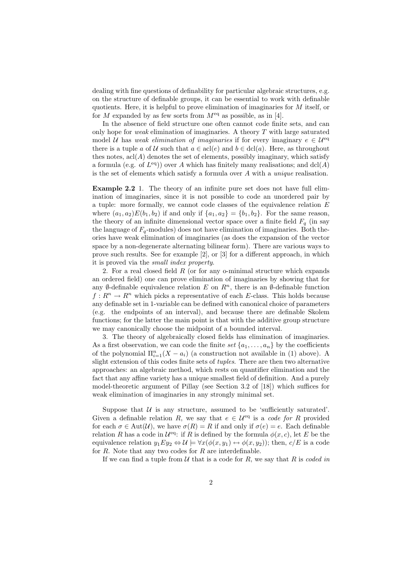dealing with fine questions of definability for particular algebraic structures, e.g. on the structure of definable groups, it can be essential to work with definable quotients. Here, it is helpful to prove elimination of imaginaries for M itself, or for M expanded by as few sorts from  $M<sup>eq</sup>$  as possible, as in [4].

In the absence of field structure one often cannot code finite sets, and can only hope for *weak* elimination of imaginaries. A theory  $T$  with large saturated model U has weak elimination of imaginaries if for every imaginary  $e \in U^{eq}$ there is a tuple a of U such that  $a \in \text{acl}(e)$  and  $b \in \text{dcl}(a)$ . Here, as throughout thes notes,  $\text{acl}(A)$  denotes the set of elements, possibly imaginary, which satisfy a formula (e.g. of  $L^{eq}$ )) over A which has finitely many realisations; and dcl(A) is the set of elements which satisfy a formula over A with a unique realisation.

Example 2.2 1. The theory of an infinite pure set does not have full elimination of imaginaries, since it is not possible to code an unordered pair by a tuple: more formally, we cannot code classes of the equivalence relation E where  $(a_1, a_2)E(b_1, b_2)$  if and only if  $\{a_1, a_2\} = \{b_1, b_2\}$ . For the same reason, the theory of an infinite dimensional vector space over a finite field  $F_q$  (in say the language of  $F_q$ -modules) does not have elimination of imaginaries. Both theories have weak elimination of imaginaries (as does the expansion of the vector space by a non-degenerate alternating bilinear form). There are various ways to prove such results. See for example [2], or [3] for a different approach, in which it is proved via the small index property.

2. For a real closed field  $R$  (or for any o-minimal structure which expands an ordered field) one can prove elimination of imaginaries by showing that for any Ø-definable equivalence relation E on  $\mathbb{R}^n$ , there is an Ø-definable function  $f: \mathbb{R}^n \to \mathbb{R}^n$  which picks a representative of each E-class. This holds because any definable set in 1-variable can be defined with canonical choice of parameters (e.g. the endpoints of an interval), and because there are definable Skolem functions; for the latter the main point is that with the additive group structure we may canonically choose the midpoint of a bounded interval.

3. The theory of algebraically closed fields has elimination of imaginaries. As a first observation, we can code the finite set  $\{a_1, \ldots, a_n\}$  by the coefficients of the polynomial  $\Pi_{i=1}^n(X - a_i)$  (a construction not available in (1) above). A slight extension of this codes finite sets of tuples. There are then two alternative approaches: an algebraic method, which rests on quantifier elimination and the fact that any affine variety has a unique smallest field of definition. And a purely model-theoretic argument of Pillay (see Section 3.2 of [18]) which suffices for weak elimination of imaginaries in any strongly minimal set.

Suppose that  $U$  is any structure, assumed to be 'sufficiently saturated'. Given a definable relation R, we say that  $e \in \mathcal{U}^{eq}$  is a code for R provided for each  $\sigma \in \text{Aut}(\mathcal{U})$ , we have  $\sigma(R) = R$  if and only if  $\sigma(e) = e$ . Each definable relation R has a code in  $\mathcal{U}^{\text{eq}}$ : if R is defined by the formula  $\phi(x, c)$ , let E be the equivalence relation  $y_1Ey_2 \Leftrightarrow \mathcal{U} \models \forall x(\phi(x,y_1) \leftrightarrow \phi(x,y_2))$ ; then,  $c/E$  is a code for  $R$ . Note that any two codes for  $R$  are interdefinable.

If we can find a tuple from  $U$  that is a code for R, we say that R is coded in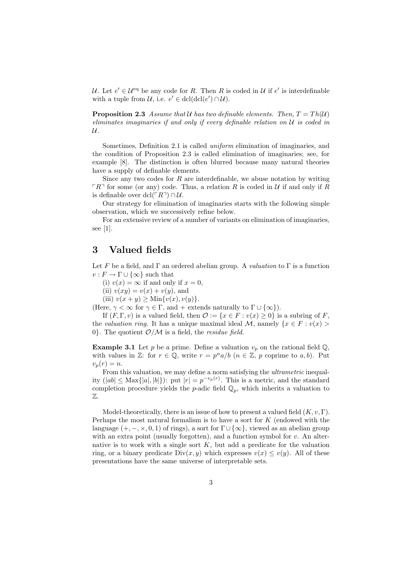U. Let  $e' \in \mathcal{U}^{\text{eq}}$  be any code for R. Then R is coded in U if  $e'$  is interdefinable with a tuple from  $\mathcal{U}$ , i.e.  $e' \in \text{dcl}(\text{dcl}(e') \cap \mathcal{U})$ .

**Proposition 2.3** Assume that U has two definable elements. Then,  $T = Th(\mathcal{U})$ eliminates imaginaries if and only if every definable relation on  $U$  is coded in  $\mathcal{U}.$ 

Sometimes, Definition 2.1 is called uniform elimination of imaginaries, and the condition of Proposition 2.3 is called elimination of imaginaries; see, for example [8]. The distinction is often blurred because many natural theories have a supply of definable elements.

Since any two codes for  $R$  are interdefinable, we abuse notation by writing  $\lceil R \rceil$  for some (or any) code. Thus, a relation R is coded in U if and only if R is definable over dcl( $\ulcorner R\urcorner$ ) ∩  $\mathcal{U}$ .

Our strategy for elimination of imaginaries starts with the following simple observation, which we successively refine below.

For an extensive review of a number of variants on elimination of imaginaries, see [1].

# 3 Valued fields

Let F be a field, and  $\Gamma$  an ordered abelian group. A valuation to  $\Gamma$  is a function  $v : F \to \Gamma \cup \{\infty\}$  such that

(i)  $v(x) = \infty$  if and only if  $x = 0$ ,

(ii)  $v(xy) = v(x) + v(y)$ , and

(iii)  $v(x + y) > \text{Min}\{v(x), v(y)\}.$ 

(Here,  $\gamma < \infty$  for  $\gamma \in \Gamma$ , and + extends naturally to  $\Gamma \cup \{\infty\}$ ).

If  $(F, \Gamma, v)$  is a valued field, then  $\mathcal{O} := \{x \in F : v(x) \geq 0\}$  is a subring of F, the valuation ring. It has a unique maximal ideal M, namely  $\{x \in F : v(x) >$ 0. The quotient  $\mathcal{O}/\mathcal{M}$  is a field, the *residue field*.

**Example 3.1** Let p be a prime. Define a valuation  $v_p$  on the rational field  $\mathbb{Q}$ . with values in Z: for  $r \in \mathbb{Q}$ , write  $r = p^n a/b$   $(n \in \mathbb{Z}, p$  coprime to  $a, b$ ). Put  $v_p(r) = n.$ 

From this valuation, we may define a norm satisfying the *ultrametric* inequality  $(|ab| \leq \text{Max}\{|a|, |b|\}$ : put  $|r| = p^{-v_p(r)}$ . This is a metric, and the standard completion procedure yields the *p*-adic field  $\mathbb{Q}_p$ , which inherits a valuation to  $\mathbb{Z}$ 

Model-theoretically, there is an issue of how to present a valued field  $(K, v, \Gamma)$ . Perhaps the most natural formalism is to have a sort for  $K$  (endowed with the language  $(+, -, \times, 0, 1)$  of rings), a sort for  $\Gamma \cup {\infty}$ , viewed as an abelian group with an extra point (usually forgotten), and a function symbol for  $v$ . An alternative is to work with a single sort  $K$ , but add a predicate for the valuation ring, or a binary predicate  $Div(x, y)$  which expresses  $v(x) \le v(y)$ . All of these presentations have the same universe of interpretable sets.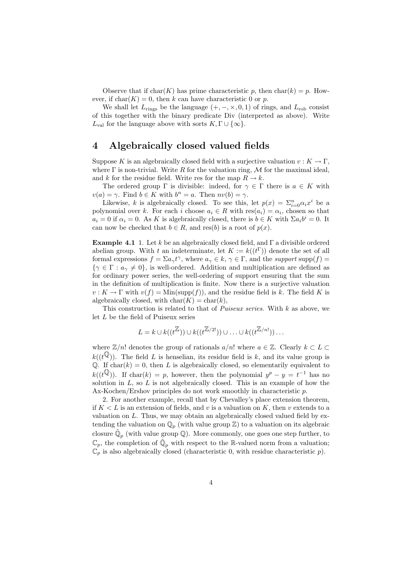Observe that if char(K) has prime characteristic p, then char(k) = p. However, if  $char(K) = 0$ , then k can have characteristic 0 or p.

We shall let  $L_{\text{rings}}$  be the language  $(+, -, \times, 0, 1)$  of rings, and  $L_{\text{rob}}$  consist of this together with the binary predicate Div (interpreted as above). Write  $L_{val}$  for the language above with sorts  $K, \Gamma \cup \{\infty\}.$ 

## 4 Algebraically closed valued fields

Suppose K is an algebraically closed field with a surjective valuation  $v : K \to \Gamma$ , where  $\Gamma$  is non-trivial. Write R for the valuation ring, M for the maximal ideal, and k for the residue field. Write res for the map  $R \to k$ .

The ordered group  $\Gamma$  is divisible: indeed, for  $\gamma \in \Gamma$  there is  $a \in K$  with  $v(a) = \gamma$ . Find  $b \in K$  with  $b^n = a$ . Then  $nv(b) = \gamma$ .

Likewise, k is algebraically closed. To see this, let  $p(x) = \sum_{i=0}^{n} \alpha_i x^i$  be a polynomial over k. For each i choose  $a_i \in R$  with  $res(a_i) = \alpha_i$ , chosen so that  $a_i = 0$  if  $\alpha_i = 0$ . As K is algebraically closed, there is  $b \in K$  with  $\Sigma a_i b^i = 0$ . It can now be checked that  $b \in R$ , and res(b) is a root of  $p(x)$ .

**Example 4.1** 1. Let k be an algebraically closed field, and  $\Gamma$  a divisible ordered abelian group. With t an indeterminate, let  $K := k((t^{\Gamma}))$  denote the set of all formal expressions  $f = \sum a_{\gamma} t^{\gamma}$ , where  $a_{\gamma} \in k$ ,  $\gamma \in \Gamma$ , and the support supp $(f)$  $\{\gamma \in \Gamma : a_{\gamma} \neq 0\}$ , is well-ordered. Addition and multiplication are defined as for ordinary power series, the well-ordering of support ensuring that the sum in the definition of multiplication is finite. Now there is a surjective valuation  $v: K \to \Gamma$  with  $v(f) = \text{Min}(\text{supp}(f))$ , and the residue field is k. The field K is algebraically closed, with  $char(K) = char(k)$ ,

This construction is related to that of *Puiseux series*. With  $k$  as above, we let L be the field of Puiseux series

$$
L = k \cup k((t^{\mathbb{Z}})) \cup k((t^{\mathbb{Z}/2!})) \cup \ldots \cup k((t^{\mathbb{Z}/n!})) \ldots
$$

where  $\mathbb{Z}/n!$  denotes the group of rationals  $a/n!$  where  $a \in \mathbb{Z}$ . Clearly  $k \subset L$  $k((t^{\mathbb{Q}}))$ . The field L is henselian, its residue field is k, and its value group is Q. If  $char(k) = 0$ , then L is algebraically closed, so elementarily equivalent to  $k((t^{\mathbb{Q}}))$ . If char $(k) = p$ , however, then the polynomial  $y^{p} - y = t^{-1}$  has no solution in  $L$ , so  $L$  is not algebraically closed. This is an example of how the Ax-Kochen/Ershov principles do not work smoothly in characteristic p.

2. For another example, recall that by Chevalley's place extension theorem, if  $K < L$  is an extension of fields, and v is a valuation on K, then v extends to a valuation on  $L$ . Thus, we may obtain an algebraically closed valued field by extending the valuation on  $\mathbb{Q}_p$  (with value group  $\mathbb{Z}$ ) to a valuation on its algebraic closure  $\tilde{\mathbb{Q}}_p$  (with value group  $\mathbb{Q}$ ). More commonly, one goes one step further, to  $\mathbb{C}_p$ , the completion of  $\tilde{\mathbb{Q}}_p$  with respect to the R-valued norm from a valuation;  $\overline{\mathbb{C}}_p$  is also algebraically closed (characteristic 0, with residue characteristic p).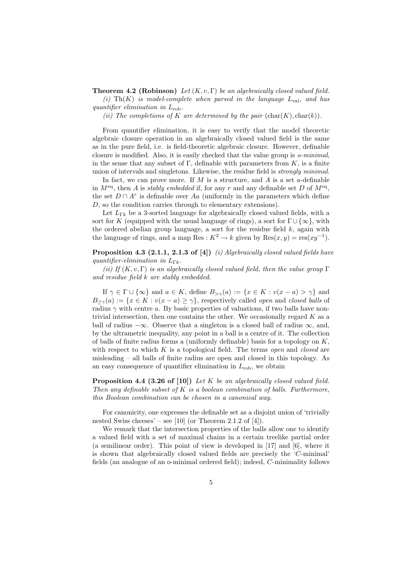**Theorem 4.2 (Robinson)** Let  $(K, v, \Gamma)$  be an algebraically closed valued field. (i)  $\text{Th}(K)$  is model-complete when parsed in the language  $L_{val}$ , and has quantifier elimination in  $L_{\rm rob}$ .

(ii) The completions of K are determined by the pair  $(char(K), char(k)).$ 

From quantifier elimination, it is easy to verify that the model theoretic algebraic closure operation in an algebraically closed valued field is the same as in the pure field, i.e. is field-theoretic algebraic closure. However, definable closure is modified. Also, it is easily checked that the value group is o-minimal, in the sense that any subset of  $\Gamma$ , definable with parameters from  $K$ , is a finite union of intervals and singletons. Likewise, the residue field is strongly minimal.

In fact, we can prove more. If M is a structure, and A is a set a-definable in  $M<sup>eq</sup>$ , then A is stably embedded if, for any r and any definable set D of  $M<sup>eq</sup>$ , the set  $D \cap A^r$  is definable over Aa (uniformly in the parameters which define D, so the condition carries through to elementary extensions).

Let  $L_{\Gamma k}$  be a 3-sorted language for algebraically closed valued fields, with a sort for K (equipped with the usual language of rings), a sort for  $\Gamma \cup \{\infty\}$ , with the ordered abelian group language, a sort for the residue field  $k$ , again with the language of rings, and a map Res :  $K^2 \to k$  given by  $\text{Res}(x, y) = \text{res}(xy^{-1})$ .

#### Proposition 4.3 (2.1.1, 2.1.3 of [4]) (i) Algebraically closed valued fields have quantifier-elimination in  $L_{\Gamma k}$ .

(ii) If  $(K, v, \Gamma)$  is an algebraically closed valued field, then the value group  $\Gamma$ and residue field k are stably embedded.

If  $\gamma \in \Gamma \cup \{\infty\}$  and  $a \in K$ , define  $B_{>\gamma}(a) := \{x \in K : v(x - a) > \gamma\}$  and  $B_{\geq \gamma}(a) := \{x \in K : v(x - a) \geq \gamma\}$ , respectively called open and closed balls of radius  $\gamma$  with centre a. By basic properties of valuations, if two balls have nontrivial intersection, then one contains the other. We occasionally regard  $K$  as a ball of radius  $-\infty$ . Observe that a singleton is a closed ball of radius  $\infty$ , and, by the ultrametric inequality, any point in a ball is a centre of it. The collection of balls of finite radius forms a (uniformly definable) basis for a topology on  $K$ , with respect to which  $K$  is a topological field. The terms *open* and *closed* are misleading – all balls of finite radius are open and closed in this topology. As an easy consequence of quantifier elimination in  $L_{\rm rob}$ , we obtain

**Proposition 4.4 (3.26 of [10])** Let K be an algebraically closed valued field. Then any definable subset of  $K$  is a boolean combination of balls. Furthermore, this Boolean combination can be chosen in a canonical way.

For canonicity, one expresses the definable set as a disjoint union of 'trivially nested Swiss cheeses' – see [10] (or Theorem 2.1.2 of [4]).

We remark that the intersection properties of the balls allow one to identify a valued field with a set of maximal chains in a certain treelike partial order (a semilinear order). This point of view is developed in [17] and [6], where it is shown that algebraically closed valued fields are precisely the 'C-minimal' fields (an analogue of an o-minimal ordered field); indeed, C-minimality follows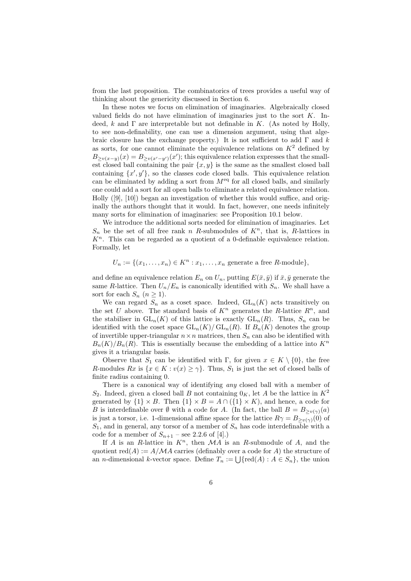from the last proposition. The combinatorics of trees provides a useful way of thinking about the genericity discussed in Section 6.

In these notes we focus on elimination of imaginaries. Algebraically closed valued fields do not have elimination of imaginaries just to the sort  $K$ . Indeed, k and  $\Gamma$  are interpretable but not definable in K. (As noted by Holly, to see non-definability, one can use a dimension argument, using that algebraic closure has the exchange property.) It is not sufficient to add  $\Gamma$  and k as sorts, for one cannot eliminate the equivalence relations on  $K^2$  defined by  $B_{\geq v(x-y)}(x) = B_{\geq v(x'-y')}(x')$ ; this equivalence relation expresses that the smallest closed ball containing the pair  $\{x, y\}$  is the same as the smallest closed ball containing  $\{x', y'\}$ , so the classes code closed balls. This equivalence relation can be eliminated by adding a sort from  $M<sup>eq</sup>$  for all closed balls, and similarly one could add a sort for all open balls to eliminate a related equivalence relation. Holly ([9], [10]) began an investigation of whether this would suffice, and originally the authors thought that it would. In fact, however, one needs infinitely many sorts for elimination of imaginaries: see Proposition 10.1 below.

We introduce the additional sorts needed for elimination of imaginaries. Let  $S_n$  be the set of all free rank n R-submodules of  $K^n$ , that is, R-lattices in  $K<sup>n</sup>$ . This can be regarded as a quotient of a 0-definable equivalence relation. Formally, let

 $U_n := \{(x_1, \ldots, x_n) \in K^n : x_1, \ldots, x_n \text{ generate a free } R\text{-module}\},\$ 

and define an equivalence relation  $E_n$  on  $U_n$ , putting  $E(\bar{x}, \bar{y})$  if  $\bar{x}, \bar{y}$  generate the same R-lattice. Then  $U_n/E_n$  is canonically identified with  $S_n$ . We shall have a sort for each  $S_n$   $(n \geq 1)$ .

We can regard  $S_n$  as a coset space. Indeed,  $GL_n(K)$  acts transitively on the set U above. The standard basis of  $K^n$  generates the R-lattice  $R^n$ , and the stabiliser in  $GL_n(K)$  of this lattice is exactly  $GL_n(R)$ . Thus,  $S_n$  can be identified with the coset space  $GL_n(K)/ GL_n(R)$ . If  $B_n(K)$  denotes the group of invertible upper-triangular  $n \times n$  matrices, then  $S_n$  can also be identified with  $B_n(K)/B_n(R)$ . This is essentially because the embedding of a lattice into  $K^n$ gives it a triangular basis.

Observe that  $S_1$  can be identified with Γ, for given  $x \in K \setminus \{0\}$ , the free R-modules  $Rx$  is  $\{x \in K : v(x) \geq \gamma\}$ . Thus,  $S_1$  is just the set of closed balls of finite radius containing 0.

There is a canonical way of identifying *any* closed ball with a member of  $S_2$ . Indeed, given a closed ball B not containing  $0<sub>K</sub>$ , let A be the lattice in  $K^2$ generated by  $\{1\} \times B$ . Then  $\{1\} \times B = A \cap (\{1\} \times K)$ , and hence, a code for B is interdefinable over  $\emptyset$  with a code for A. (In fact, the ball  $B = B_{\geq v(\gamma)}(a)$ is just a torsor, i.e. 1-dimensional affine space for the lattice  $R\gamma = B_{\geq v(\gamma)}(0)$  of  $S_1$ , and in general, any torsor of a member of  $S_n$  has code interdefinable with a code for a member of  $S_{n+1}$  – see 2.2.6 of [4].)

If A is an R-lattice in  $K<sup>n</sup>$ , then  $\mathcal{M}A$  is an R-submodule of A, and the quotient  $red(A) := A/MA$  carries (definably over a code for A) the structure of an *n*-dimensional *k*-vector space. Define  $T_n := \bigcup \{ \text{red}(A) : A \in S_n \}$ , the union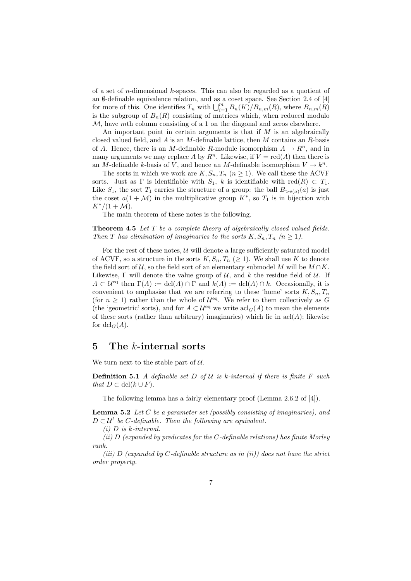of a set of n-dimensional k-spaces. This can also be regarded as a quotient of an  $\emptyset$ -definable equivalence relation, and as a coset space. See Section 2.4 of [4] for more of this. One identifies  $T_n$  with  $\bigcup_{i=1}^m B_n(K)/B_{n,m}(R)$ , where  $B_{n,m}(R)$ is the subgroup of  $B_n(R)$  consisting of matrices which, when reduced modulo  $M$ , have mth column consisting of a 1 on the diagonal and zeros elsewhere.

An important point in certain arguments is that if  $M$  is an algebraically closed valued field, and  $A$  is an  $M$ -definable lattice, then  $M$  contains an  $R$ -basis of A. Hence, there is an M-definable R-module isomorphism  $A \to R^n$ , and in many arguments we may replace A by  $R^n$ . Likewise, if  $V = \text{red}(A)$  then there is an M-definable k-basis of V, and hence an M-definable isomorphism  $V \to k^n$ .

The sorts in which we work are  $K, S_n, T_n$   $(n \geq 1)$ . We call these the ACVF sorts. Just as  $\Gamma$  is identifiable with  $S_1$ , k is identifiable with red $(R) \subset T_1$ . Like  $S_1$ , the sort  $T_1$  carries the structure of a group: the ball  $B_{>v(a)}(a)$  is just the coset  $a(1 + M)$  in the multiplicative group  $K^*$ , so  $T_1$  is in bijection with  $K^*/(1 + M)$ .

The main theorem of these notes is the following.

**Theorem 4.5** Let  $T$  be a complete theory of algebraically closed valued fields. Then T has elimination of imaginaries to the sorts  $K, S_n, T_n$   $(n \geq 1)$ .

For the rest of these notes,  $U$  will denote a large sufficiently saturated model of ACVF, so a structure in the sorts  $K, S_n, T_n \geq 1$ . We shall use K to denote the field sort of  $\mathcal{U}$ , so the field sort of an elementary submodel M will be  $M \cap K$ . Likewise,  $\Gamma$  will denote the value group of  $\mathcal{U}$ , and k the residue field of  $\mathcal{U}$ . If  $A \subset \mathcal{U}^{eq}$  then  $\Gamma(A) := \text{dcl}(A) \cap \Gamma$  and  $k(A) := \text{dcl}(A) \cap k$ . Occasionally, it is convenient to emphasise that we are referring to these 'home' sorts  $K, S_n, T_n$ (for  $n \geq 1$ ) rather than the whole of  $\mathcal{U}^{eq}$ . We refer to them collectively as G (the 'geometric' sorts), and for  $A \subset \mathcal{U}^{eq}$  we write  $\operatorname{acl}_G(A)$  to mean the elements of these sorts (rather than arbitrary) imaginaries) which lie in  $\operatorname{acl}(A)$ ; likewise for  $dcl_G(A)$ .

# 5 The k-internal sorts

We turn next to the stable part of  $U$ .

**Definition 5.1** A definable set D of U is k-internal if there is finite F such that  $D \subset \text{dcl}(k \cup F)$ .

The following lemma has a fairly elementary proof (Lemma 2.6.2 of [4]).

**Lemma 5.2** Let C be a parameter set (possibly consisting of imaginaries), and  $D \subset \mathcal{U}^l$  be C-definable. Then the following are equivalent.

 $(i)$  D is k-internal.

(ii)  $D$  (expanded by predicates for the C-definable relations) has finite Morley rank.

(iii) D (expanded by C-definable structure as in (ii)) does not have the strict order property.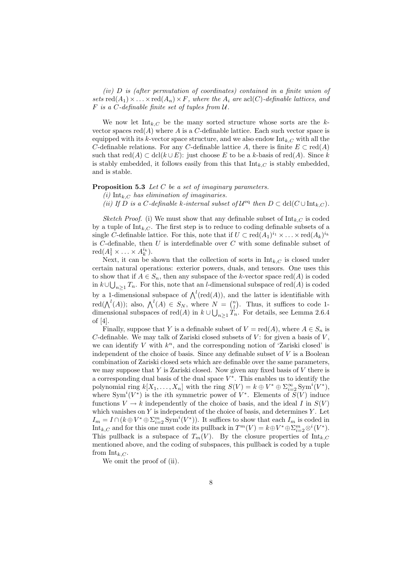(iv) D is (after permutation of coordinates) contained in a finite union of sets  $\text{red}(A_1) \times \ldots \times \text{red}(A_n) \times F$ , where the  $A_i$  are  $\text{acl}(C)$ -definable lattices, and  $F$  is a C-definable finite set of tuples from  $U$ .

We now let  $Int_{k,C}$  be the many sorted structure whose sorts are the kvector spaces  $red(A)$  where A is a C-definable lattice. Each such vector space is equipped with its k-vector space structure, and we also endow  $\text{Int}_{k,C}$  with all the C-definable relations. For any C-definable lattice A, there is finite  $E \subset \text{red}(A)$ such that  $\text{red}(A) \subset \text{dcl}(k \cup E)$ : just choose E to be a k-basis of  $\text{red}(A)$ . Since k is stably embedded, it follows easily from this that  $\text{Int}_{k,C}$  is stably embedded, and is stable.

#### Proposition 5.3 Let C be a set of imaginary parameters.

(i) Int<sub>k C</sub> has elimination of imaginaries.

(ii) If D is a C-definable k-internal subset of  $\mathcal{U}^{eq}$  then  $D \subset \text{dcl}(C \cup \text{Int}_{k,C})$ .

Sketch Proof. (i) We must show that any definable subset of  $\text{Int}_{k,C}$  is coded by a tuple of  $\text{Int}_{k,C}$ . The first step is to reduce to coding definable subsets of a single C-definable lattice. For this, note that if  $U \subset \text{red}(A_1)^{i_1} \times \ldots \times \text{red}(A_k)^{i_k}$ is  $C$ -definable, then  $U$  is interdefinable over  $C$  with some definable subset of  $\operatorname{red}(A_1^1 \times \ldots \times A_k^{i_k}).$ 

Next, it can be shown that the collection of sorts in  $\text{Int}_{k,C}$  is closed under certain natural operations: exterior powers, duals, and tensors. One uses this to show that if  $A \in S_n$ , then any subspace of the k-vector space red(A) is coded in  $k \cup \bigcup_{n \geq 1} T_n$ . For this, note that an *l*-dimensional subspace of red(A) is coded by a 1-dimensional subspace of  $\bigwedge^l(\text{red}(A)),$  and the latter is identifiable with red( $\bigwedge^l(A)$ ); also,  $\bigwedge^l(A) \in S_N$ , where  $N = \binom{n}{l}$ . Thus, it suffices to code 1dimensional subspaces of  $\text{red}(A)$  in  $k \cup \bigcup_{n \geq 1} T_n$ . For details, see Lemma 2.6.4 of [4].

Finally, suppose that Y is a definable subset of  $V = \text{red}(A)$ , where  $A \in S_n$  is  $C$ -definable. We may talk of Zariski closed subsets of  $V$ : for given a basis of  $V$ . we can identify  $V$  with  $k^n$ , and the corresponding notion of 'Zariski closed' is independent of the choice of basis. Since any definable subset of  $V$  is a Boolean combination of Zariski closed sets which are definable over the same parameters, we may suppose that  $Y$  is Zariski closed. Now given any fixed basis of  $V$  there is a corresponding dual basis of the dual space  $V^*$ . This enables us to identify the polynomial ring  $k[X_1, \ldots, X_n]$  with the ring  $S(V) = k \oplus V^* \oplus \sum_{i=2}^{\infty} \text{Sym}^i(V^*)$ , where  $Sym<sup>i</sup>(V<sup>*</sup>)$  is the *i*th symmetric power of  $V<sup>*</sup>$ . Elements of  $S(V)$  induce functions  $V \to k$  independently of the choice of basis, and the ideal I in  $S(V)$ which vanishes on  $Y$  is independent of the choice of basis, and determines  $Y$ . Let  $I_m = I \cap (k \oplus V^* \oplus \sum_{i=2}^m \text{Sym}^i(V^*)).$  It suffices to show that each  $I_m$  is coded in Int<sub>k,C</sub> and for this one must code its pullback in  $T^m(V) = k \oplus V^* \oplus \sum_{i=2}^m \otimes^i (V^*)$ . This pullback is a subspace of  $T_m(V)$ . By the closure properties of  $Int_{k,C}$ mentioned above, and the coding of subspaces, this pullback is coded by a tuple from  $Int_{k,C}$ .

We omit the proof of (ii).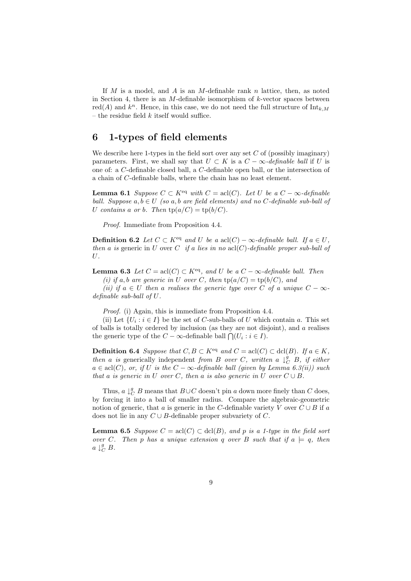If M is a model, and A is an M-definable rank n lattice, then, as noted in Section 4, there is an  $M$ -definable isomorphism of  $k$ -vector spaces between red(A) and  $k^n$ . Hence, in this case, we do not need the full structure of  $\text{Int}_{k,M}$ – the residue field  $k$  itself would suffice.

# 6 1-types of field elements

We describe here 1-types in the field sort over any set  $C$  of (possibly imaginary) parameters. First, we shall say that  $U \subset K$  is a  $C - \infty$ -definable ball if U is one of: a C-definable closed ball, a C-definable open ball, or the intersection of a chain of C-definable balls, where the chain has no least element.

**Lemma 6.1** Suppose  $C \subset K^{eq}$  with  $C = \text{acl}(C)$ . Let U be a  $C - \infty$ -definable ball. Suppose  $a, b \in U$  (so  $a, b$  are field elements) and no C-definable sub-ball of U contains a or b. Then  $tp(a/C) = tp(b/C)$ .

Proof. Immediate from Proposition 4.4.

**Definition 6.2** Let  $C \subset K^{eq}$  and U be a acl(C) – ∞-definable ball. If  $a \in U$ , then a is generic in U over C if a lies in no  $\operatorname{acl}(C)$ -definable proper sub-ball of U.

**Lemma 6.3** Let  $C = \text{acl}(C) \subset K^{\text{eq}}$ , and U be a  $C - \infty$ -definable ball. Then

(i) if a, b are generic in U over C, then  $tp(a/C) = tp(b/C)$ , and

(ii) if  $a \in U$  then a realises the generic type over C of a unique  $C - \infty$ definable sub-ball of U.

Proof. (i) Again, this is immediate from Proposition 4.4.

(ii) Let  $\{U_i : i \in I\}$  be the set of C-sub-balls of U which contain a. This set of balls is totally ordered by inclusion (as they are not disjoint), and a realises the generic type of the  $C - \infty$ -definable ball  $\bigcap (U_i : i \in I)$ .

**Definition 6.4** Suppose that  $C, B \subset K^{eq}$  and  $C = \text{acl}(C) \subset \text{dcl}(B)$ . If  $a \in K$ , then a is generically independent from B over C, written a  $\downarrow_C^{\hat{g}} B$ , if either  $a \in \text{acl}(C)$ , or, if U is the  $C - \infty$ -definable ball (given by Lemma 6.3(ii)) such that a is generic in U over C, then a is also generic in  $\tilde{U}$  over  $C \cup B$ .

Thus,  $a \downarrow_C^g B$  means that  $B \cup C$  doesn't pin a down more finely than  $C$  does, by forcing it into a ball of smaller radius. Compare the algebraic-geometric notion of generic, that a is generic in the C-definable variety V over  $C \cup B$  if a does not lie in any  $C \cup B$ -definable proper subvariety of C.

**Lemma 6.5** Suppose  $C = \text{acl}(C) \subset \text{dcl}(B)$ , and p is a 1-type in the field sort over C. Then p has a unique extension q over B such that if  $a \models q$ , then  $a \downarrow_C^g B$ .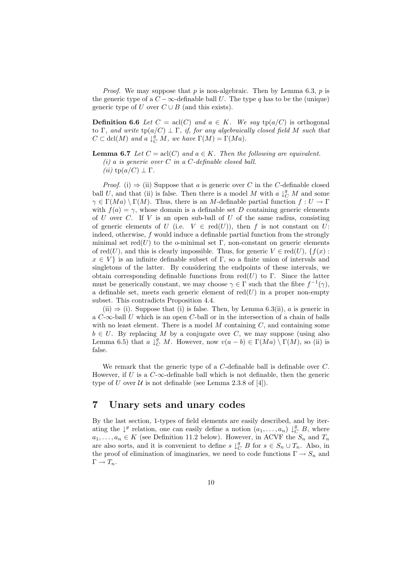*Proof.* We may suppose that p is non-algebraic. Then by Lemma 6.3, p is the generic type of a  $C - \infty$ -definable ball U. The type q has to be the (unique) generic type of U over  $C \cup B$  (and this exists).

**Definition 6.6** Let  $C = \text{acl}(C)$  and  $a \in K$ . We say  $\text{tp}(a/C)$  is orthogonal to Γ, and write  $tp(a/C) \perp \Gamma$ , if, for any algebraically closed field M such that  $C \subset \text{dcl}(M)$  and  $a \downarrow_C^g M$ , we have  $\Gamma(M) = \Gamma(Ma)$ .

#### **Lemma 6.7** Let  $C = \text{acl}(C)$  and  $a \in K$ . Then the following are equivalent.

(i) a is generic over C in a C-definable closed ball.

*Proof.* (i)  $\Rightarrow$  (ii) Suppose that a is generic over C in the C-definable closed ball U, and that (ii) is false. Then there is a model M with  $a \downarrow_C^g M$  and some  $\gamma \in \Gamma(Ma) \setminus \Gamma(M)$ . Thus, there is an M-definable partial function  $f: U \to \Gamma$ with  $f(a) = \gamma$ , whose domain is a definable set D containing generic elements of U over C. If V is an open sub-ball of U of the same radius, consisting of generic elements of U (i.e.  $V \in \text{red}(U)$ ), then f is not constant on U: indeed, otherwise, f would induce a definable partial function from the strongly minimal set  $red(U)$  to the o-minimal set Γ, non-constant on generic elements of red(U), and this is clearly impossible. Thus, for generic  $V \in \text{red}(U)$ ,  $\{f(x):$  $x \in V$  is an infinite definable subset of Γ, so a finite union of intervals and singletons of the latter. By considering the endpoints of these intervals, we obtain corresponding definable functions from  $red(U)$  to Γ. Since the latter must be generically constant, we may choose  $\gamma \in \Gamma$  such that the fibre  $f^{-1}(\gamma)$ , a definable set, meets each generic element of  $red(U)$  in a proper non-empty subset. This contradicts Proposition 4.4.

(ii)  $\Rightarrow$  (i). Suppose that (i) is false. Then, by Lemma 6.3(ii), a is generic in a  $C$ - $\infty$ -ball U which is an open  $C$ -ball or in the intersection of a chain of balls with no least element. There is a model  $M$  containing  $C$ , and containing some  $b \in U$ . By replacing M by a conjugate over C, we may suppose (using also Lemma 6.5) that a  $\downarrow_C^g M$ . However, now  $v(a - b) \in \Gamma(Ma) \setminus \Gamma(M)$ , so (ii) is false.

We remark that the generic type of a C-definable ball is definable over C. However, if U is a  $C$ - $\infty$ -definable ball which is not definable, then the generic type of U over U is not definable (see Lemma 2.3.8 of [4]).

# 7 Unary sets and unary codes

By the last section, 1-types of field elements are easily described, and by iterating the  $\downarrow^g$  relation, one can easily define a notion  $(a_1, \ldots, a_n) \downarrow^g_C B$ , where  $a_1, \ldots, a_n \in K$  (see Definition 11.2 below). However, in ACVF the  $S_n$  and  $T_n$ are also sorts, and it is convenient to define  $s \downarrow_C^g B$  for  $s \in S_n \cup T_n$ . Also, in the proof of elimination of imaginaries, we need to code functions  $\Gamma \to S_n$  and  $\Gamma \to T_n$ .

<sup>(</sup>ii)  $\text{tp}(a/C) \perp \Gamma$ .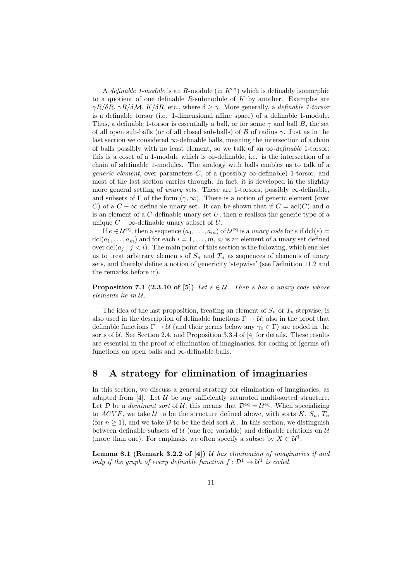A definable 1-module is an R-module (in  $K^{eq}$ ) which is definably isomorphic to a quotient of one definable  $R$ -submodule of  $K$  by another. Examples are  $\gamma R/\delta R$ ,  $\gamma R/\delta M$ ,  $K/\delta R$ , etc., where  $\delta \geq \gamma$ . More generally, a *definable 1-torsor* is a definable torsor (i.e. 1-dimensional affine space) of a definable 1-module. Thus, a definable 1-torsor is essentially a ball, or for some  $\gamma$  and ball B, the set of all open sub-balls (or of all closed sub-balls) of B of radius  $\gamma$ . Just as in the last section we considered  $\infty$ -definable balls, meaning the intersection of a chain of balls possibly with no least element, so we talk of an  $\infty$ -definable 1-torsor: this is a coset of a 1-module which is  $\infty$ -definable, i.e. is the intersection of a chain of sdefinable 1-modules. The analogy with balls enables us to talk of a *generic element*, over parameters C, of a (possibly  $\infty$ -definable) 1-torsor, and most of the last section carries through. In fact, it is developed in the slightly more general setting of *unary sets*. These are 1-torsors, possibly  $\infty$ -definable, and subsets of  $\Gamma$  of the form  $(\gamma, \infty)$ . There is a notion of generic element (over C) of a  $C - \infty$  definable unary set. It can be shown that if  $C = \text{acl}(C)$  and a is an element of a  $C$ -definable unary set  $U$ , then  $a$  realises the generic type of a unique  $C - \infty$ -definable unary subset of U.

If  $e \in \mathcal{U}^{\text{eq}}$ , then a sequence  $(a_1, \ldots, a_m)$  of  $\mathcal{U}^{\text{eq}}$  is a unary code for e if  $\text{dcl}(e)$  $dcl(a_1, \ldots, a_m)$  and for each  $i = 1, \ldots, m, a_i$  is an element of a unary set defined over  $\text{dcl}(a_i : j < i)$ . The main point of this section is the following, which enables us to treat arbitrary elements of  $S_n$  and  $T_n$  as sequences of elements of unary sets, and thereby define a notion of genericity 'stepwise' (see Definition 11.2 and the remarks before it).

**Proposition 7.1 (2.3.10 of [5])** Let  $s \in \mathcal{U}$ . Then s has a unary code whose elements lie in U.

The idea of the last proposition, treating an element of  $S_n$  or  $T_n$  stepwise, is also used in the description of definable functions  $\Gamma \to U$ ; also in the proof that definable functions  $\Gamma \to \mathcal{U}$  (and their germs below any  $\gamma_0 \in \Gamma$ ) are coded in the sorts of  $U$ . See Section 2.4, and Proposition 3.3.4 of [4] for details. These results are essential in the proof of elimination of imaginaries, for coding of (germs of) functions on open balls and  $\infty$ -definable balls.

# 8 A strategy for elimination of imaginaries

In this section, we discuss a general strategy for elimination of imaginaries, as adapted from [4]. Let  $U$  be any sufficiently saturated multi-sorted structure. Let D be a *dominant sort* of U; this means that  $\mathcal{D}^{\text{eq}} = \mathcal{U}^{\text{eq}}$ . When specializing to ACVF, we take U to be the structure defined above, with sorts K,  $S_n$ ,  $T_n$ (for  $n \geq 1$ ), and we take D to be the field sort K. In this section, we distinguish between definable subsets of  $U$  (one free variable) and definable relations on  $U$ (more than one). For emphasis, we often specify a subset by  $X \subset \mathcal{U}^1$ .

**Lemma 8.1 (Remark 3.2.2 of [4])**  $\mathcal U$  has elimination of imaginaries if and only if the graph of every definable function  $f: \mathcal{D}^1 \to \mathcal{U}^1$  is coded.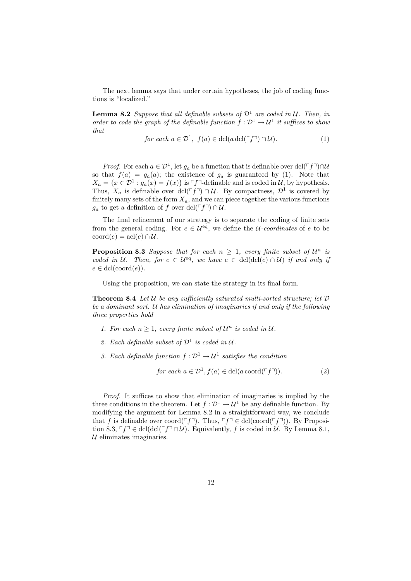The next lemma says that under certain hypotheses, the job of coding functions is "localized."

**Lemma 8.2** Suppose that all definable subsets of  $\mathcal{D}^1$  are coded in U. Then, in order to code the graph of the definable function  $f : \mathcal{D}^1 \to \mathcal{U}^1$  it suffices to show that

$$
for each a \in \mathcal{D}^1, f(a) \in \operatorname{dcl}(a \operatorname{dcl}(\ulcorner f \urcorner) \cap \mathcal{U}).\tag{1}
$$

*Proof.* For each  $a \in \mathcal{D}^1$ , let  $g_a$  be a function that is definable over dcl( $\ulcorner f\urcorner$ )∩U so that  $f(a) = g_a(a)$ ; the existence of  $g_a$  is guaranteed by (1). Note that  $X_a = \{x \in \mathcal{D}^1 : g_a(x) = f(x)\}\$ is  $\ulcorner f \urcorner$ -definable and is coded in  $\mathcal{U}$ , by hypothesis. Thus,  $X_a$  is definable over dcl( $\ulcorner f\urcorner$ ) ∩ U. By compactness,  $\mathcal{D}^1$  is covered by finitely many sets of the form  $X_a$ , and we can piece together the various functions  $g_a$  to get a definition of f over dcl( $\ulcorner f\urcorner$ ) ∩ U.

The final refinement of our strategy is to separate the coding of finite sets from the general coding. For  $e \in \mathcal{U}^{eq}$ , we define the *U*-coordinates of e to be  $\mathrm{coord}(e) = \mathrm{acl}(e) \cap \mathcal{U}.$ 

**Proposition 8.3** Suppose that for each  $n \geq 1$ , every finite subset of  $\mathcal{U}^n$  is coded in U. Then, for  $e \in \mathcal{U}^{eq}$ , we have  $e \in \text{dcl}(\text{dcl}(e) \cap \mathcal{U})$  if and only if  $e \in \text{dcl}(\text{coord}(e)).$ 

Using the proposition, we can state the strategy in its final form.

**Theorem 8.4** Let U be any sufficiently saturated multi-sorted structure; let  $D$ be a dominant sort.  $U$  has elimination of imaginaries if and only if the following three properties hold

- 1. For each  $n \geq 1$ , every finite subset of  $\mathcal{U}^n$  is coded in  $\mathcal{U}$ .
- 2. Each definable subset of  $\mathcal{D}^1$  is coded in  $\mathcal{U}$ .
- 3. Each definable function  $f: \mathcal{D}^1 \to \mathcal{U}^1$  satisfies the condition

$$
for each  $a \in \mathcal{D}^1$ ,  $f(a) \in \text{dcl}(a \operatorname{coord}(\ulcorner f \urcorner)).$  (2)
$$

Proof. It suffices to show that elimination of imaginaries is implied by the three conditions in the theorem. Let  $f: \mathcal{D}^1 \to \mathcal{U}^1$  be any definable function. By modifying the argument for Lemma 8.2 in a straightforward way, we conclude that f is definable over coord( $\ulcorner f\urcorner$ ). Thus,  $\ulcorner f\urcorner \in \text{dcl}(\text{coord}(\ulcorner f\urcorner))$ . By Proposition 8.3,  $\ulcorner f\urcorner \in \text{dcl}(\text{dcl}(\ulcorner f\urcorner \cap \mathcal{U})$ . Equivalently, f is coded in U. By Lemma 8.1,  $U$  eliminates imaginaries.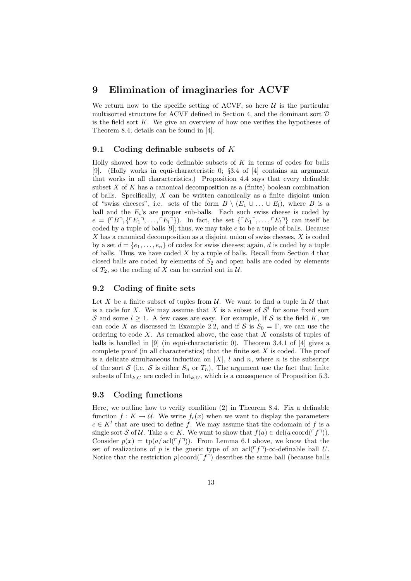### 9 Elimination of imaginaries for ACVF

We return now to the specific setting of ACVF, so here  $U$  is the particular multisorted structure for ACVF defined in Section 4, and the dominant sort  $\mathcal D$ is the field sort  $K$ . We give an overview of how one verifies the hypotheses of Theorem 8.4; details can be found in [4].

#### 9.1 Coding definable subsets of K

Holly showed how to code definable subsets of  $K$  in terms of codes for balls [9]. (Holly works in equi-characteristic 0; §3.4 of [4] contains an argument that works in all characteristics.) Proposition 4.4 says that every definable subset  $X$  of  $K$  has a canonical decomposition as a (finite) boolean combination of balls. Specifically, X can be written canonically as a finite disjoint union of "swiss cheeses", i.e. sets of the form  $B \setminus (E_1 \cup \ldots \cup E_l)$ , where B is a ball and the  $E_i$ 's are proper sub-balls. Each such swiss cheese is coded by  $e = (\ulcorner B \urcorner, \{ \ulcorner E_1 \urcorner, \ldots, \ulcorner E_l \urcorner \})$ . In fact, the set  $\{ \ulcorner E_1 \urcorner, \ldots, \ulcorner E_l \urcorner \}$  can itself be coded by a tuple of balls  $[9]$ ; thus, we may take e to be a tuple of balls. Because  $X$  has a canonical decomposition as a disjoint union of swiss cheeses,  $X$  is coded by a set  $d = \{e_1, \ldots, e_n\}$  of codes for swiss cheeses; again, d is coded by a tuple of balls. Thus, we have coded  $X$  by a tuple of balls. Recall from Section 4 that closed balls are coded by elements of  $S_2$  and open balls are coded by elements of  $T_2$ , so the coding of X can be carried out in  $\mathcal{U}$ .

#### 9.2 Coding of finite sets

Let X be a finite subset of tuples from  $\mathcal U$ . We want to find a tuple in  $\mathcal U$  that is a code for X. We may assume that X is a subset of  $\mathcal{S}^l$  for some fixed sort S and some  $l \geq 1$ . A few cases are easy. For example, If S is the field K, we can code X as discussed in Example 2.2, and if S is  $S_0 = \Gamma$ , we can use the ordering to code  $X$ . As remarked above, the case that  $X$  consists of tuples of balls is handled in [9] (in equi-characteristic 0). Theorem 3.4.1 of [4] gives a complete proof (in all characteristics) that the finite set  $X$  is coded. The proof is a delicate simultaneous induction on  $|X|$ , l and n, where n is the subscript of the sort S (i.e. S is either  $S_n$  or  $T_n$ ). The argument use the fact that finite subsets of  $\text{Int}_{k,C}$  are coded in  $\text{Int}_{k,C}$ , which is a consequence of Proposition 5.3.

#### 9.3 Coding functions

Here, we outline how to verify condition (2) in Theorem 8.4. Fix a definable function  $f: K \to U$ . We write  $f_c(x)$  when we want to display the parameters  $c \in K<sup>l</sup>$  that are used to define f. We may assume that the codomain of f is a single sort S of U. Take  $a \in K$ . We want to show that  $f(a) \in \text{dcl}(a \text{ coord}(\ulcorner f \urcorner)).$ Consider  $p(x) = \text{tp}(a/\text{acl}(\ulcorner f \urcorner))$ . From Lemma 6.1 above, we know that the set of realizations of p is the gneric type of an acl( $\lceil f \rceil$ )-∞-definable ball U. Notice that the restriction  $p | \text{coord}(\ulcorner f \urcorner)$  describes the same ball (because balls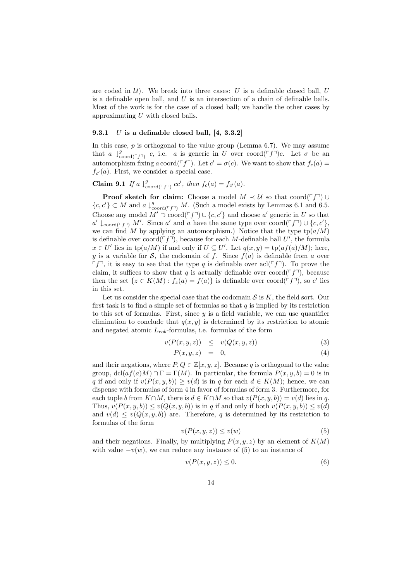are coded in  $\mathcal{U}$ ). We break into three cases: U is a definable closed ball, U is a definable open ball, and  $U$  is an intersection of a chain of definable balls. Most of the work is for the case of a closed ball; we handle the other cases by approximating  $U$  with closed balls.

#### 9.3.1  $U$  is a definable closed ball, [4, 3.3.2]

In this case,  $p$  is orthogonal to the value group (Lemma 6.7). We may assume that a  $\downarrow_{\text{coord}(\ulcorner f\urcorner)}^g$  c, i.e. a is generic in U over coord $(\ulcorner f\urcorner)c$ . Let  $\sigma$  be an automorphism fixing a coord( $\ulcorner f \urcorner$ ). Let  $c' = \sigma(c)$ . We want to show that  $f_c(a) =$  $f_{c'}(a)$ . First, we consider a special case.

Claim 9.1 If a  $\downarrow_{\text{coord}(\ulcorner f\urcorner)}^g cc'$ , then  $f_c(a) = f_{c'}(a)$ .

**Proof sketch for claim:** Choose a model  $M \prec U$  so that coord( $\ulcorner f\urcorner$ ) ∪  ${c, c' \} \subset M$  and  $a \downarrow_{\text{coord}(\ulcorner f \urcorner)}^g M$ . (Such a model exists by Lemmas 6.1 and 6.5. Choose any model  $M' \supset \text{coord}(\ulcorner f \urcorner) \cup \{c, c'\}\$ and choose a' generic in U so that  $a' \downarrow_{\text{coord}(\ulcorner f \urcorner)} M'$ . Since  $a'$  and a have the same type over coord( $\ulcorner f \urcorner$ ) ∪ {c, c'}, we can find M by applying an automorphism.) Notice that the type  $\text{tp}(a/M)$ is definable over  $\text{coord}(\ulcorner f \urcorner)$ , because for each M-definable ball U', the formula  $x \in U'$  lies in  $tp(a/M)$  if and only if  $U \subseteq U'$ . Let  $q(x, y) = tp(a f(a)/M)$ ; here, y is a variable for S, the codomain of f. Since  $f(a)$  is definable from a over  $\lceil f \rceil$ , it is easy to see that the type q is definable over acl( $\lceil f \rceil$ ). To prove the claim, it suffices to show that q is actually definable over coord( $\ulcorner f\urcorner$ ), because then the set  $\{z \in K(M) : f_z(a) = f(a)\}\$ is definable over coord $(\ulcorner f \urcorner)$ , so c' lies in this set.

Let us consider the special case that the codomain  $S$  is  $K$ , the field sort. Our first task is to find a simple set of formulas so that  $q$  is implied by its restriction to this set of formulas. First, since  $y$  is a field variable, we can use quantifier elimination to conclude that  $q(x, y)$  is determined by its restriction to atomic and negated atomic  $L_{rob}$ -formulas, i.e. formulas of the form

$$
v(P(x, y, z)) \leq v(Q(x, y, z)) \tag{3}
$$

$$
P(x, y, z) = 0, \t\t(4)
$$

and their negations, where  $P, Q \in \mathbb{Z}[x, y, z]$ . Because q is orthogonal to the value group,  $\text{dcl}(af(a)M) \cap \Gamma = \Gamma(M)$ . In particular, the formula  $P(x, y, b) = 0$  is in q if and only if  $v(P(x, y, b)) > v(d)$  is in q for each  $d \in K(M)$ ; hence, we can dispense with formulas of form 4 in favor of formulas of form 3. Furthermore, for each tuple b from  $K \cap M$ , there is  $d \in K \cap M$  so that  $v(P(x, y, b)) = v(d)$  lies in q. Thus,  $v(P(x, y, b)) \leq v(Q(x, y, b))$  is in q if and only if both  $v(P(x, y, b)) \leq v(d)$ and  $v(d) \le v(Q(x, y, b))$  are. Therefore, q is determined by its restriction to formulas of the form

$$
v(P(x, y, z)) \le v(w)
$$
 (5)

and their negations. Finally, by multiplying  $P(x, y, z)$  by an element of  $K(M)$ with value  $-v(w)$ , we can reduce any instance of (5) to an instance of

$$
v(P(x, y, z)) \le 0. \tag{6}
$$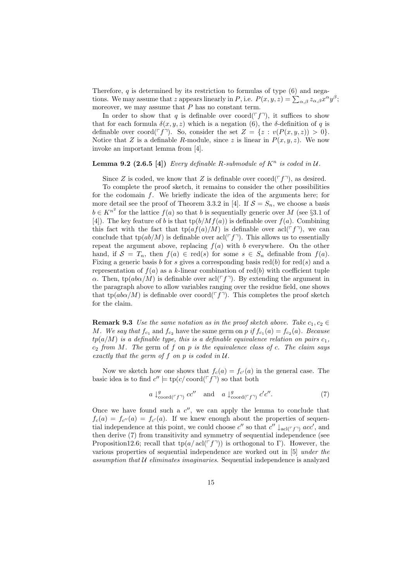Therefore,  $q$  is determined by its restriction to formulas of type  $(6)$  and negations. We may assume that z appears linearly in P, i.e.  $P(x, y, z) = \sum_{\alpha, \beta} z_{\alpha, \beta} x^{\alpha} y^{\beta};$ moreover, we may assume that  $P$  has no constant term.

In order to show that q is definable over coord( $\lceil f \rceil$ ), it suffices to show that for each formula  $\delta(x, y, z)$  which is a negation (6), the  $\delta$ -definition of q is definable over coord( $\ulcorner f \urcorner$ ). So, consider the set  $Z = \{z : v(P(x, y, z)) > 0\}.$ Notice that Z is a definable R-module, since z is linear in  $P(x, y, z)$ . We now invoke an important lemma from [4].

**Lemma 9.2 (2.6.5 [4])** Every definable R-submodule of  $K^n$  is coded in  $U$ .

Since Z is coded, we know that Z is definable over coord( $\ulcorner f \urcorner$ ), as desired.

To complete the proof sketch, it remains to consider the other possibilities for the codomain f. We briefly indicate the idea of the arguments here; for more detail see the proof of Theorem 3.3.2 in [4]. If  $S = S_n$ , we choose a basis  $b \in K^{n^2}$  for the lattice  $f(a)$  so that b is sequentially generic over M (see §3.1 of [4]). The key feature of b is that  $\text{tp}(b/Mf(a))$  is definable over  $f(a)$ . Combining this fact with the fact that  $\text{tp}(af(a)/M)$  is definable over  $\text{acl}(\ulcorner f\urcorner)$ , we can conclude that  $tp(ab/M)$  is definable over acl( $\ulcorner f\urcorner$ ). This allows us to essentially repeat the argument above, replacing  $f(a)$  with b everywhere. On the other hand, if  $S = T_n$ , then  $f(a) \in \text{red}(s)$  for some  $s \in S_n$  definable from  $f(a)$ . Fixing a generic basis b for s gives a corresponding basis  $red(b)$  for  $red(s)$  and a representation of  $f(a)$  as a k-linear combination of red(b) with coefficient tuple α. Then, tp( $ab\alpha/M$ ) is definable over  $\alpha C^{\dagger}$ . By extending the argument in the paragraph above to allow variables ranging over the residue field, one shows that tp( $ab\alpha/M$ ) is definable over coord( $\ulcorner f\urcorner$ ). This completes the proof sketch for the claim.

**Remark 9.3** Use the same notation as in the proof sketch above. Take  $c_1, c_2 \in$ M. We say that  $f_{c_1}$  and  $f_{c_2}$  have the same germ on p if  $f_{c_1}(a) = f_{c_2}(a)$ . Because  $tp(a/M)$  is a definable type, this is a definable equivalence relation on pairs  $c_1$ ,  $c_2$  from M. The germ of f on p is the equivalence class of c. The claim says exactly that the germ of f on p is coded in  $U$ .

Now we sketch how one shows that  $f_c(a) = f_{c'}(a)$  in the general case. The basic idea is to find  $c'' \models \text{tp}(c/\text{coord}(\ulcorner f \urcorner)$  so that both

$$
a \downarrow_{\text{coord}(\ulcorner f \urcorner)}^g cc'' \text{ and } a \downarrow_{\text{coord}(\ulcorner f \urcorner)}^g c' c''. \tag{7}
$$

Once we have found such a  $c''$ , we can apply the lemma to conclude that  $f_c(a) = f_{c}l'}(a) = f_{c'}(a)$ . If we knew enough about the properties of sequential independence at this point, we could choose  $c''$  so that  $c'' \downarrow_{\text{acl}(\ulcorner f\urcorner)} acc'$ , and then derive (7) from transitivity and symmetry of sequential independence (see Proposition12.6; recall that  $tp(a/acl(\ulcorner f\urcorner))$  is orthogonal to Γ). However, the various properties of sequential independence are worked out in [5] under the assumption that  $U$  eliminates imaginaries. Sequential independence is analyzed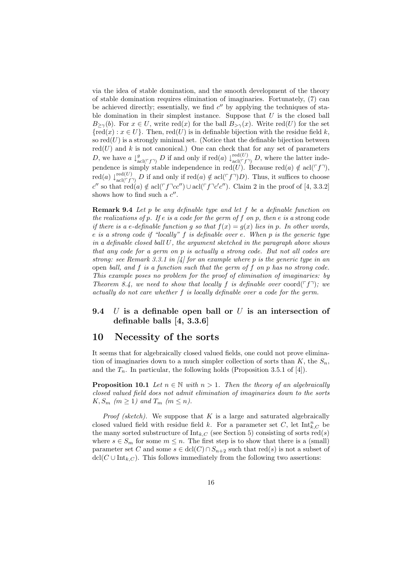via the idea of stable domination, and the smooth development of the theory of stable domination requires elimination of imaginaries. Fortunately, (7) can be achieved directly; essentially, we find  $c''$  by applying the techniques of stable domination in their simplest instance. Suppose that  $U$  is the closed ball  $B_{\geq \gamma}(b)$ . For  $x \in U$ , write red(x) for the ball  $B_{\geq \gamma}(x)$ . Write red(U) for the set  ${red}(x): x \in U$ . Then, red $(U)$  is in definable bijection with the residue field k, so  $\text{red}(U)$  is a strongly minimal set. (Notice that the definable bijection between  $red(U)$  and k is not canonical.) One can check that for any set of parameters D, we have  $a \downarrow_{\text{acl}(\ulcorner f\urcorner)}^g D$  if and only if  $\text{red}(a) \downarrow_{\text{acl}(\ulcorner f\urcorner)}^{\text{red}(U)} D$ , where the latter independence is simply stable independence in red $(U)$ . Because red $(a) \notin \text{acl}(\ulcorner f\urcorner),$ red(a)  $\downarrow_{\text{acl}(\ulcorner f\urcorner)}^{\text{red}(U)}$  D if and only if red(a)  $\notin$  acl( $\ulcorner f\urcorner)D$ ). Thus, it suffices to choose c'' so that  $\text{red}(a) \notin \text{acl}(\ulcorner f \urcorner cc'') \cup \text{acl}(\ulcorner f \urcorner c'c'')$ . Claim 2 in the proof of [4, 3.3.2] shows how to find such a  $c''$ .

Remark 9.4 Let p be any definable type and let f be a definable function on the realizations of p. If e is a code for the germ of f on p, then e is a strong code if there is a e-definable function g so that  $f(x) = g(x)$  lies in p. In other words, e is a strong code if "locally" f is definable over e. When p is the generic type in a definable closed ball U, the argument sketched in the paragraph above shows that any code for a germ on p is actually a strong code. But not all codes are strong: see Remark 3.3.1 in  $[4]$  for an example where p is the generic type in an open ball, and f is a function such that the germ of f on p has no strong code. This example poses no problem for the proof of elimination of imaginaries: by Theorem 8.4, we need to show that locally f is definable over coord( $\lceil f \rceil$ ); we actually do not care whether f is locally definable over a code for the germ.

#### 9.4 U is a definable open ball or U is an intersection of definable balls [4, 3.3.6]

#### 10 Necessity of the sorts

It seems that for algebraically closed valued fields, one could not prove elimination of imaginaries down to a much simpler collection of sorts than  $K$ , the  $S_n$ , and the  $T_n$ . In particular, the following holds (Proposition 3.5.1 of [4]).

**Proposition 10.1** Let  $n \in \mathbb{N}$  with  $n > 1$ . Then the theory of an algebraically closed valued field does not admit elimination of imaginaries down to the sorts  $K, S_m$  ( $m \geq 1$ ) and  $T_m$  ( $m \leq n$ ).

*Proof (sketch)*. We suppose that  $K$  is a large and saturated algebraically closed valued field with residue field k. For a parameter set C, let  $\text{Int}_{k,C}^n$  be the many sorted substructure of  $Int_{k,C}$  (see Section 5) consisting of sorts red(s) where  $s \in S_m$  for some  $m \leq n$ . The first step is to show that there is a (small) parameter set C and some  $s \in \text{dcl}(C) \cap S_{n+2}$  such that  $\text{red}(s)$  is not a subset of  $\text{dcl}(C \cup \text{Int}_{k,C})$ . This follows immediately from the following two assertions: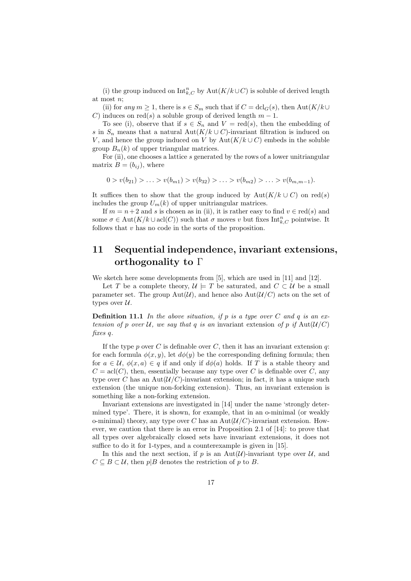(i) the group induced on  $\mathrm{Int}_{k,C}^n$  by  $\mathrm{Aut}(K/k\cup C)$  is soluble of derived length at most n;

(ii) for any  $m \geq 1$ , there is  $s \in S_m$  such that if  $C = \text{dcl}_G(s)$ , then  $\text{Aut}(K/k \cup$ induces on red(s) a soluble group of derived length  $m - 1$ .

To see (i), observe that if  $s \in S_n$  and  $V = \text{red}(s)$ , then the embedding of s in  $S_n$  means that a natural Aut(K/k ∪ C)-invariant filtration is induced on V, and hence the group induced on V by Aut( $K/k\cup C$ ) embeds in the soluble group  $B_n(k)$  of upper triangular matrices.

For (ii), one chooses a lattice s generated by the rows of a lower unitriangular matrix  $B = (b_{ij})$ , where

$$
0 > v(b_{21}) > \ldots > v(b_{m1}) > v(b_{32}) > \ldots > v(b_{m2}) > \ldots > v(b_{m,m-1}).
$$

It suffices then to show that the group induced by  $Aut(K/k \cup C)$  on red(s) includes the group  $U_m(k)$  of upper unitriangular matrices.

If  $m = n + 2$  and s is chosen as in (ii), it is rather easy to find  $v \in \text{red}(s)$  and some  $\sigma \in \text{Aut}(K/k \cup \text{acl}(C))$  such that  $\sigma$  moves v but fixes  $\text{Int}_{k,C}^n$  pointwise. It follows that v has no code in the sorts of the proposition.

# 11 Sequential independence, invariant extensions, orthogonality to Γ

We sketch here some developments from [5], which are used in [11] and [12].

Let T be a complete theory,  $\mathcal{U} \models T$  be saturated, and  $C \subset \mathcal{U}$  be a small parameter set. The group  $Aut(\mathcal{U})$ , and hence also  $Aut(\mathcal{U}/C)$  acts on the set of types over  $\mathcal{U}$ .

**Definition 11.1** In the above situation, if p is a type over C and q is an extension of p over U, we say that q is an invariant extension of p if  $\text{Aut}(\mathcal{U}/C)$ fixes q.

If the type p over C is definable over C, then it has an invariant extension q: for each formula  $\phi(x, y)$ , let  $d\phi(y)$  be the corresponding defining formula; then for  $a \in \mathcal{U}, \phi(x, a) \in q$  if and only if  $d\phi(a)$  holds. If T is a stable theory and  $C = \text{acl}(C)$ , then, essentially because any type over C is definable over C, any type over C has an  $Aut(U/C)$ -invariant extension; in fact, it has a unique such extension (the unique non-forking extension). Thus, an invariant extension is something like a non-forking extension.

Invariant extensions are investigated in [14] under the name 'strongly determined type'. There, it is shown, for example, that in an o-minimal (or weakly o-minimal) theory, any type over C has an  $Aut(\mathcal{U}/C)$ -invariant extension. However, we caution that there is an error in Proposition 2.1 of [14]: to prove that all types over algebraically closed sets have invariant extensions, it does not suffice to do it for 1-types, and a counterexample is given in [15].

In this and the next section, if p is an Aut $(\mathcal{U})$ -invariant type over  $\mathcal{U}$ , and  $C \subseteq B \subset \mathcal{U}$ , then  $p|B$  denotes the restriction of p to B.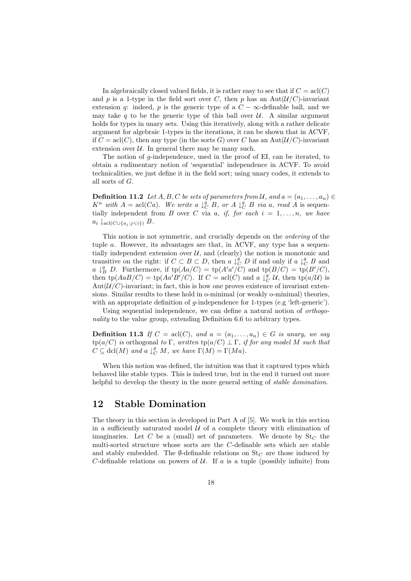In algebraically closed valued fields, it is rather easy to see that if  $C = \text{acl}(C)$ and p is a 1-type in the field sort over C, then p has an  $Aut(\mathcal{U}/C)$ -invariant extension q: indeed, p is the generic type of a  $C - \infty$ -definable ball, and we may take q to be the generic type of this ball over  $U$ . A similar argument holds for types in unary sets. Using this iteratively, along with a rather delicate argument for algebraic 1-types in the iterations, it can be shown that in ACVF, if  $C = \text{acl}(C)$ , then any type (in the sorts G) over C has an Aut $(\mathcal{U}/C)$ -invariant extension over  $\mathcal U$ . In general there may be many such.

The notion of g-independence, used in the proof of EI, can be iterated, to obtain a rudimentary notion of 'sequential' independence in ACVF. To avoid technicalities, we just define it in the field sort; using unary codes, it extends to all sorts of G.

**Definition 11.2** Let  $A, B, C$  be sets of parameters from U, and  $a = (a_1, \ldots, a_n) \in$  $K^n$  with  $A = \text{acl}(Ca)$ . We write a  $\downarrow^g_C B$ , or  $A \downarrow^g_C B$  via a, read A is sequentially independent from B over C via a, if, for each  $i = 1, \ldots, n$ , we have  $a_i \downarrow_{\text{acl}(C \cup \{a_i : j < i\})} B.$ 

This notion is not symmetric, and crucially depends on the ordering of the tuple a. However, its advantages are that, in ACVF, any type has a sequentially independent extension over  $\mathcal{U}$ , and (clearly) the notion is monotonic and transitive on the right: if  $C \subset B \subset D$ , then  $a \downarrow_C^g D$  if and only if  $a \downarrow_C^g B$  and a  $\downarrow_B^g$  D. Furthermore, if  $tp(Aa/C) = tp(A'a'/C)$  and  $tp(B/C) = tp(B'/C)$ , then  $tp(AaB/C) = tp(Aa'B'C')$ . If  $C = acl(C)$  and  $a \downarrow_C^g U$ , then  $tp(a/U)$  is  $\text{Aut}(\mathcal{U}/C)$ -invariant; in fact, this is how one proves existence of invariant extensions. Similar results to these hold in o-minimal (or weakly o-minimal) theories, with an appropriate definition of g-independence for 1-types (e.g 'left-generic').

Using sequential independence, we can define a natural notion of orthogonality to the value group, extending Definition 6.6 to arbitrary types.

**Definition 11.3** If  $C = \text{acl}(C)$ , and  $a = (a_1, \ldots, a_n) \in G$  is unary, we say  $tp(a/C)$  is orthogonal to Γ, written  $tp(a/C) \perp \Gamma$ , if for any model M such that  $C \subseteq \text{dcl}(M)$  and a  $\downarrow_{C}^{g} M$ , we have  $\Gamma(M) = \Gamma(Ma)$ .

When this notion was defined, the intuition was that it captured types which behaved like stable types. This is indeed true, but in the end it turned out more helpful to develop the theory in the more general setting of *stable domination*.

# 12 Stable Domination

The theory in this section is developed in Part A of [5]. We work in this section in a sufficiently saturated model  $U$  of a complete theory with elimination of imaginaries. Let C be a (small) set of parameters. We denote by  $St_C$  the multi-sorted structure whose sorts are the C-definable sets which are stable and stably embedded. The  $\emptyset$ -definable relations on  $St_C$  are those induced by C-definable relations on powers of  $U$ . If a is a tuple (possibly infinite) from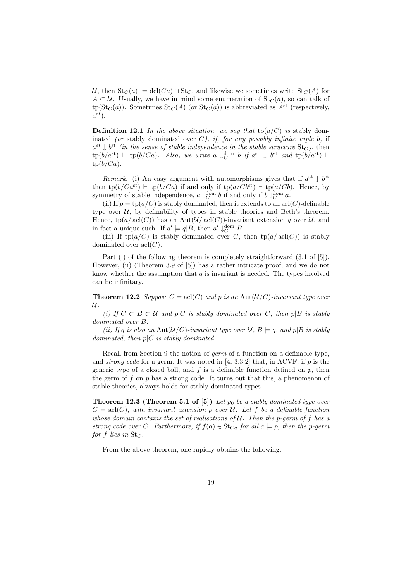U, then  $St_C(a) := \text{dcl}(Ca) \cap St_C$ , and likewise we sometimes write  $St_C(A)$  for  $A \subset \mathcal{U}$ . Usually, we have in mind some enumeration of  $St_C(a)$ , so can talk of  $tp(St_C(a))$ . Sometimes  $St_C(A)$  (or  $St_C(a)$ ) is abbreviated as  $A^{st}$  (respectively,  $a^{st}$ ).

**Definition 12.1** In the above situation, we say that  $tp(a/C)$  is stably dominated (or stably dominated over  $C$ ), if, for any possibly infinite tuple b, if  $a^{st} \downarrow b^{st}$  (in the sense of stable independence in the stable structure  $St_C$ ), then  $\text{tp}(b/a^{\text{st}}) \vdash \text{tp}(b/Ca)$ . Also, we write a  $\downarrow_C^{\text{dom}} b$  if  $a^{\text{st}} \downarrow b^{\text{st}}$  and  $\text{tp}(b/a^{\text{st}}) \vdash$  $tp(b/Ca)$ .

Remark. (i) An easy argument with automorphisms gives that if  $a^{st} \downarrow b^{st}$ then  $tp(b/Ca^{st}) \vdash tp(b/Ca)$  if and only if  $tp(a/Cb^{st}) \vdash tp(a/Cb)$ . Hence, by symmetry of stable independence,  $a \downarrow_C^{\text{dom}} b$  if and only if  $b \downarrow_C^{\text{dom}} a$ .

(ii) If  $p = \text{tp}(a/C)$  is stably dominated, then it extends to an acl(C)-definable type over  $U$ , by definability of types in stable theories and Beth's theorem. Hence,  $tp(a/acl(C))$  has an Aut $(\mathcal{U}/\text{acl}(C))$ -invariant extension q over  $\mathcal{U}$ , and in fact a unique such. If  $a' \models q | B$ , then  $a' \downarrow_C^{\text{dom}} B$ .

(iii) If  $tp(a/C)$  is stably dominated over C, then  $tp(a/acl(C))$  is stably dominated over  $\operatorname{acl}(C)$ .

Part (i) of the following theorem is completely straightforward (3.1 of [5]). However, (ii) (Theorem 3.9 of [5]) has a rather intricate proof, and we do not know whether the assumption that  $q$  is invariant is needed. The types involved can be infinitary.

**Theorem 12.2** Suppose  $C = \text{acl}(C)$  and p is an Aut $(\mathcal{U}/C)$ -invariant type over  $\mathcal{U}.$ 

(i) If  $C \subset B \subset U$  and p|C is stably dominated over C, then p|B is stably dominated over B.

(ii) If q is also an Aut( $\mathcal{U}/C$ )-invariant type over  $\mathcal{U}, B \models q$ , and  $p|B$  is stably dominated, then  $p|C$  is stably dominated.

Recall from Section 9 the notion of germ of a function on a definable type, and *strong code* for a germ. It was noted in  $[4, 3.3.2]$  that, in ACVF, if p is the generic type of a closed ball, and f is a definable function defined on p, then the germ of f on  $p$  has a strong code. It turns out that this, a phenomenon of stable theories, always holds for stably dominated types.

**Theorem 12.3 (Theorem 5.1 of [5])** Let  $p_0$  be a stably dominated type over  $C = \text{acl}(C)$ , with invariant extension p over U. Let f be a definable function whose domain contains the set of realisations of  $U$ . Then the p-germ of f has a strong code over C. Furthermore, if  $f(a) \in \text{St}_{Ca}$  for all  $a \models p$ , then the p-germ for f lies in  $St_C$ .

From the above theorem, one rapidly obtains the following.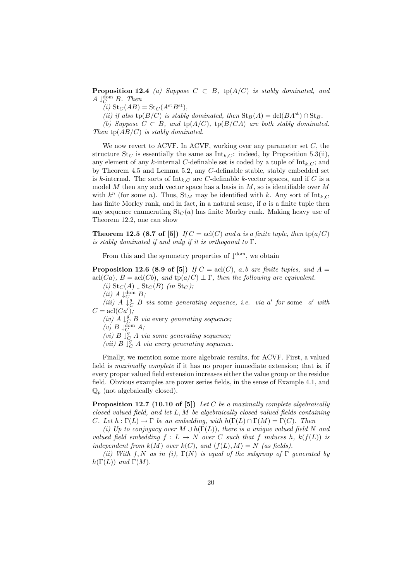**Proposition 12.4** (a) Suppose  $C \subset B$ , tp( $A/C$ ) is stably dominated, and  $A \downarrow_C^{\text{dom}} B$ . Then

(i)  $\text{St}_C(AB) = \text{St}_C(A^{\text{st}}B^{\text{st}}),$ 

(ii) if also tp( $B/C$ ) is stably dominated, then  $St_B(A) = \text{dcl}(BA^{st}) \cap St_B$ .

(b) Suppose  $C \subset B$ , and  $tp(A/C)$ ,  $tp(B/CA)$  are both stably dominated. Then  $tp(AB/C)$  is stably dominated.

We now revert to ACVF. In ACVF, working over any parameter set  $C$ , the structure  $St_C$  is essentially the same as  $Int_{k,C}$ : indeed, by Proposition 5.3(ii), any element of any k-internal C-definable set is coded by a tuple of  $Int_{k,C}$ ; and by Theorem 4.5 and Lemma 5.2, any C-definable stable, stably embedded set is k-internal. The sorts of  $Int_{k,C}$  are C-definable k-vector spaces, and if C is a model M then any such vector space has a basis in  $M$ , so is identifiable over  $M$ with  $k^n$  (for some n). Thus,  $\text{St}_M$  may be identified with k. Any sort of  $\text{Int}_{k,C}$ has finite Morley rank, and in fact, in a natural sense, if a is a finite tuple then any sequence enumerating  $St_C(a)$  has finite Morley rank. Making heavy use of Theorem 12.2, one can show

**Theorem 12.5 (8.7 of [5])** If  $C = \text{acl}(C)$  and a is a finite tuple, then  $\text{tp}(a/C)$ is stably dominated if and only if it is orthogonal to  $\Gamma$ .

From this and the symmetry properties of  $\downarrow^{dom}$ , we obtain

**Proposition 12.6 (8.9 of [5])** If  $C = \text{acl}(C)$ , a, b are finite tuples, and  $A =$ acl(*Ca*),  $B = \text{acl}(Cb)$ , and  $\text{tp}(a/C) \perp \Gamma$ , then the following are equivalent.

(i)  $\text{St}_C(A) \downarrow \text{St}_C(B)$  (in  $\text{St}_C$ );

(*ii*)  $A \downarrow^{\text{dom}}_{C} B$ ;

(iii)  $A \downarrow_C^g B$  via some generating sequence, i.e. via a' for some a' with  $C = \operatorname{acl}(Ca')$ ;

(iv)  $A \downarrow_C^g B$  via every generating sequence;

(v)  $B \downarrow^{\text{dom}}_{C} A;$ 

(vi)  $B \downarrow^g_C A$  via some generating sequence;

(vii)  $B \downarrow_C^g A$  via every generating sequence.

Finally, we mention some more algebraic results, for ACVF. First, a valued field is maximally complete if it has no proper immediate extension; that is, if every proper valued field extension increases either the value group or the residue field. Obvious examples are power series fields, in the sense of Example 4.1, and  $\mathbb{Q}_p$  (not algebaically closed).

**Proposition 12.7 (10.10 of [5])** Let C be a maximally complete algebraically closed valued field, and let L, M be algebraically closed valued fields containing C. Let  $h : \Gamma(L) \to \Gamma$  be an embedding, with  $h(\Gamma(L) \cap \Gamma(M) = \Gamma(C)$ . Then

(i) Up to conjugacy over  $M \cup h(\Gamma(L))$ , there is a unique valued field N and valued field embedding  $f: L \to N$  over C such that f induces h,  $k(f(L))$  is independent from  $k(M)$  over  $k(C)$ , and  $\langle f(L), M \rangle = N$  (as fields).

(ii) With f, N as in (i),  $\Gamma(N)$  is equal of the subgroup of  $\Gamma$  generated by  $h(\Gamma(L))$  and  $\Gamma(M)$ .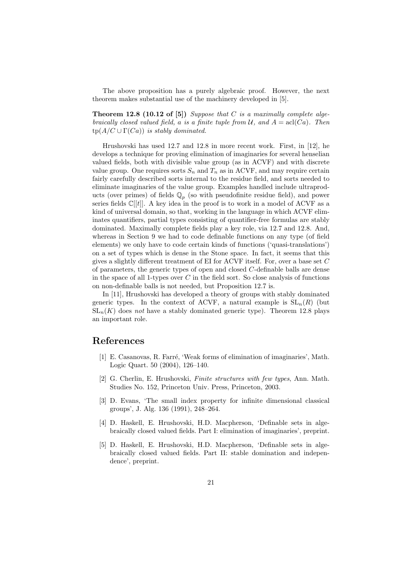The above proposition has a purely algebraic proof. However, the next theorem makes substantial use of the machinery developed in [5].

**Theorem 12.8 (10.12 of [5])** Suppose that  $C$  is a maximally complete algebraically closed valued field, a is a finite tuple from  $\mathcal{U}$ , and  $A = \text{acl}(Ca)$ . Then  $tp(A/C \cup \Gamma(Ca))$  is stably dominated.

Hrushovski has used 12.7 and 12.8 in more recent work. First, in [12], he develops a technique for proving elimination of imaginaries for several henselian valued fields, both with divisible value group (as in ACVF) and with discrete value group. One requires sorts  $S_n$  and  $T_n$  as in ACVF, and may require certain fairly carefully described sorts internal to the residue field, and sorts needed to eliminate imaginaries of the value group. Examples handled include ultraproducts (over primes) of fields  $\mathbb{Q}_p$  (so with pseudofinite residue field), and power series fields  $\mathbb{C}[[t]]$ . A key idea in the proof is to work in a model of ACVF as a kind of universal domain, so that, working in the language in which ACVF eliminates quantifiers, partial types consisting of quantifier-free formulas are stably dominated. Maximally complete fields play a key role, via 12.7 and 12.8. And, whereas in Section 9 we had to code definable functions on any type (of field elements) we only have to code certain kinds of functions ('quasi-translations') on a set of types which is dense in the Stone space. In fact, it seems that this gives a slightly different treatment of EI for ACVF itself. For, over a base set C of parameters, the generic types of open and closed C-definable balls are dense in the space of all 1-types over  $C$  in the field sort. So close analysis of functions on non-definable balls is not needed, but Proposition 12.7 is.

In [11], Hrushovski has developed a theory of groups with stably dominated generic types. In the context of ACVF, a natural example is  $SL_n(R)$  (but  $SL_n(K)$  does not have a stably dominated generic type). Theorem 12.8 plays an important role.

#### References

- [1] E. Casanovas, R. Farré, 'Weak forms of elimination of imaginaries', Math. Logic Quart. 50 (2004), 126–140.
- [2] G. Cherlin, E. Hrushovski, Finite structures with few types, Ann. Math. Studies No. 152, Princeton Univ. Press, Princeton, 2003.
- [3] D. Evans, 'The small index property for infinite dimensional classical groups', J. Alg. 136 (1991), 248–264.
- [4] D. Haskell, E. Hrushovski, H.D. Macpherson, 'Definable sets in algebraically closed valued fields. Part I: elimination of imaginaries', preprint.
- [5] D. Haskell, E. Hrushovski, H.D. Macpherson, 'Definable sets in algebraically closed valued fields. Part II: stable domination and independence', preprint.